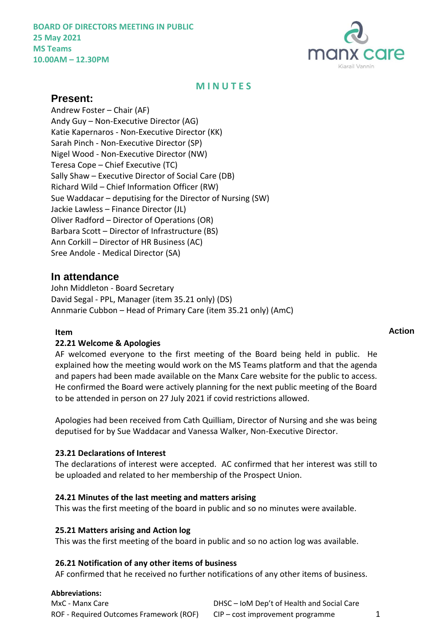

# **M I N U T E S**

# **Present:**

Andrew Foster – Chair (AF) Andy Guy – Non-Executive Director (AG) Katie Kapernaros - Non-Executive Director (KK) Sarah Pinch - Non-Executive Director (SP) Nigel Wood - Non-Executive Director (NW) Teresa Cope – Chief Executive (TC) Sally Shaw – Executive Director of Social Care (DB) Richard Wild – Chief Information Officer (RW) Sue Waddacar – deputising for the Director of Nursing (SW) Jackie Lawless – Finance Director (JL) Oliver Radford – Director of Operations (OR) Barbara Scott – Director of Infrastructure (BS) Ann Corkill – Director of HR Business (AC) Sree Andole - Medical Director (SA)

# **In attendance**

John Middleton - Board Secretary David Segal - PPL, Manager (item 35.21 only) (DS) Annmarie Cubbon – Head of Primary Care (item 35.21 only) (AmC)

# **22.21 Welcome & Apologies**

AF welcomed everyone to the first meeting of the Board being held in public. He explained how the meeting would work on the MS Teams platform and that the agenda and papers had been made available on the Manx Care website for the public to access. He confirmed the Board were actively planning for the next public meeting of the Board to be attended in person on 27 July 2021 if covid restrictions allowed.

Apologies had been received from Cath Quilliam, Director of Nursing and she was being deputised for by Sue Waddacar and Vanessa Walker, Non-Executive Director.

# **23.21 Declarations of Interest**

The declarations of interest were accepted. AC confirmed that her interest was still to be uploaded and related to her membership of the Prospect Union.

# **24.21 Minutes of the last meeting and matters arising**

This was the first meeting of the board in public and so no minutes were available.

# **25.21 Matters arising and Action log**

This was the first meeting of the board in public and so no action log was available.

#### **26.21 Notification of any other items of business**

AF confirmed that he received no further notifications of any other items of business.

#### **Abbreviations:**

| MxC - Manx Care                         | DHSC – IoM Dep't of Health and Social Care |  |
|-----------------------------------------|--------------------------------------------|--|
| ROF - Required Outcomes Framework (ROF) | $CIP$ – cost improvement programme         |  |

# **Item Action**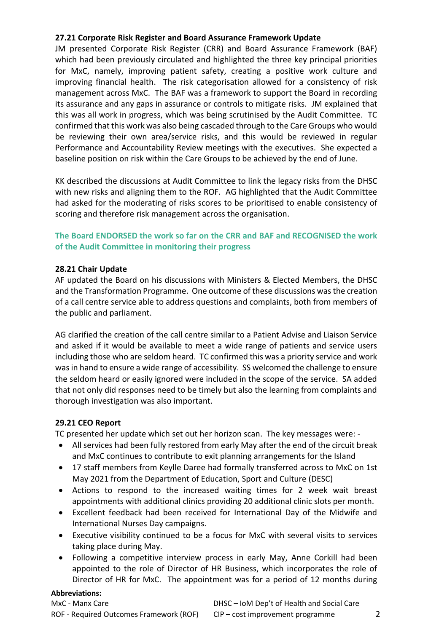# **27.21 Corporate Risk Register and Board Assurance Framework Update**

JM presented Corporate Risk Register (CRR) and Board Assurance Framework (BAF) which had been previously circulated and highlighted the three key principal priorities for MxC, namely, improving patient safety, creating a positive work culture and improving financial health. The risk categorisation allowed for a consistency of risk management across MxC. The BAF was a framework to support the Board in recording its assurance and any gaps in assurance or controls to mitigate risks. JM explained that this was all work in progress, which was being scrutinised by the Audit Committee. TC confirmed that this work was also being cascaded through to the Care Groups who would be reviewing their own area/service risks, and this would be reviewed in regular Performance and Accountability Review meetings with the executives. She expected a baseline position on risk within the Care Groups to be achieved by the end of June.

KK described the discussions at Audit Committee to link the legacy risks from the DHSC with new risks and aligning them to the ROF. AG highlighted that the Audit Committee had asked for the moderating of risks scores to be prioritised to enable consistency of scoring and therefore risk management across the organisation.

# **The Board ENDORSED the work so far on the CRR and BAF and RECOGNISED the work of the Audit Committee in monitoring their progress**

# **28.21 Chair Update**

AF updated the Board on his discussions with Ministers & Elected Members, the DHSC and the Transformation Programme. One outcome of these discussions was the creation of a call centre service able to address questions and complaints, both from members of the public and parliament.

AG clarified the creation of the call centre similar to a Patient Advise and Liaison Service and asked if it would be available to meet a wide range of patients and service users including those who are seldom heard. TC confirmed this was a priority service and work was in hand to ensure a wide range of accessibility. SS welcomed the challenge to ensure the seldom heard or easily ignored were included in the scope of the service. SA added that not only did responses need to be timely but also the learning from complaints and thorough investigation was also important.

# **29.21 CEO Report**

TC presented her update which set out her horizon scan. The key messages were: -

- All services had been fully restored from early May after the end of the circuit break and MxC continues to contribute to exit planning arrangements for the Island
- 17 staff members from Keylle Daree had formally transferred across to MxC on 1st May 2021 from the Department of Education, Sport and Culture (DESC)
- Actions to respond to the increased waiting times for 2 week wait breast appointments with additional clinics providing 20 additional clinic slots per month.
- Excellent feedback had been received for International Day of the Midwife and International Nurses Day campaigns.
- Executive visibility continued to be a focus for MxC with several visits to services taking place during May.
- Following a competitive interview process in early May, Anne Corkill had been appointed to the role of Director of HR Business, which incorporates the role of Director of HR for MxC. The appointment was for a period of 12 months during

#### **Abbreviations:**

MxC - Manx Care **DHSC – IoM Dep't of Health and Social Care** ROF - Required Outcomes Framework (ROF) CIP – cost improvement programme 2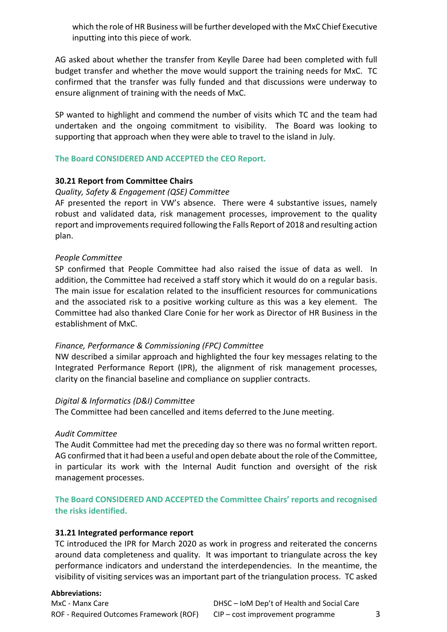which the role of HR Business will be further developed with the MxC Chief Executive inputting into this piece of work.

AG asked about whether the transfer from Keylle Daree had been completed with full budget transfer and whether the move would support the training needs for MxC. TC confirmed that the transfer was fully funded and that discussions were underway to ensure alignment of training with the needs of MxC.

SP wanted to highlight and commend the number of visits which TC and the team had undertaken and the ongoing commitment to visibility. The Board was looking to supporting that approach when they were able to travel to the island in July.

## **The Board CONSIDERED AND ACCEPTED the CEO Report.**

## **30.21 Report from Committee Chairs**

#### *Quality, Safety & Engagement (QSE) Committee*

AF presented the report in VW's absence. There were 4 substantive issues, namely robust and validated data, risk management processes, improvement to the quality report and improvements required following the Falls Report of 2018 and resulting action plan.

## *People Committee*

SP confirmed that People Committee had also raised the issue of data as well. In addition, the Committee had received a staff story which it would do on a regular basis. The main issue for escalation related to the insufficient resources for communications and the associated risk to a positive working culture as this was a key element. The Committee had also thanked Clare Conie for her work as Director of HR Business in the establishment of MxC.

#### *Finance, Performance & Commissioning (FPC) Committee*

NW described a similar approach and highlighted the four key messages relating to the Integrated Performance Report (IPR), the alignment of risk management processes, clarity on the financial baseline and compliance on supplier contracts.

#### *Digital & Informatics (D&I) Committee*

The Committee had been cancelled and items deferred to the June meeting.

#### *Audit Committee*

The Audit Committee had met the preceding day so there was no formal written report. AG confirmed that it had been a useful and open debate about the role of the Committee, in particular its work with the Internal Audit function and oversight of the risk management processes.

**The Board CONSIDERED AND ACCEPTED the Committee Chairs' reports and recognised the risks identified.**

#### **31.21 Integrated performance report**

TC introduced the IPR for March 2020 as work in progress and reiterated the concerns around data completeness and quality. It was important to triangulate across the key performance indicators and understand the interdependencies. In the meantime, the visibility of visiting services was an important part of the triangulation process. TC asked

#### **Abbreviations:**

MxC - Manx Care **DHSC – IoM Dep't of Health and Social Care** ROF - Required Outcomes Framework (ROF) CIP – cost improvement programme 3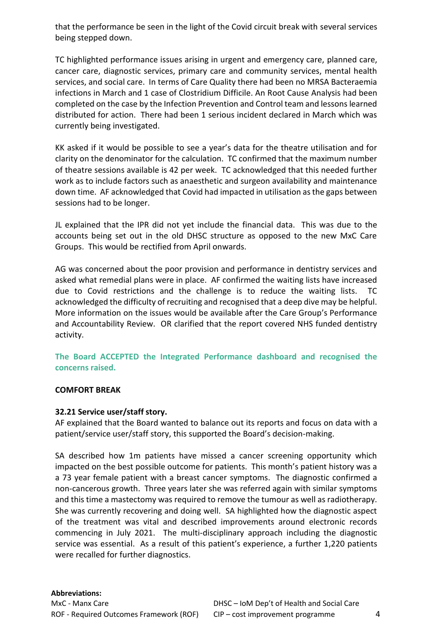that the performance be seen in the light of the Covid circuit break with several services being stepped down.

TC highlighted performance issues arising in urgent and emergency care, planned care, cancer care, diagnostic services, primary care and community services, mental health services, and social care. In terms of Care Quality there had been no MRSA Bacteraemia infections in March and 1 case of Clostridium Difficile. An Root Cause Analysis had been completed on the case by the Infection Prevention and Control team and lessons learned distributed for action. There had been 1 serious incident declared in March which was currently being investigated.

KK asked if it would be possible to see a year's data for the theatre utilisation and for clarity on the denominator for the calculation. TC confirmed that the maximum number of theatre sessions available is 42 per week. TC acknowledged that this needed further work as to include factors such as anaesthetic and surgeon availability and maintenance down time. AF acknowledged that Covid had impacted in utilisation as the gaps between sessions had to be longer.

JL explained that the IPR did not yet include the financial data. This was due to the accounts being set out in the old DHSC structure as opposed to the new MxC Care Groups. This would be rectified from April onwards.

AG was concerned about the poor provision and performance in dentistry services and asked what remedial plans were in place. AF confirmed the waiting lists have increased due to Covid restrictions and the challenge is to reduce the waiting lists. TC acknowledged the difficulty of recruiting and recognised that a deep dive may be helpful. More information on the issues would be available after the Care Group's Performance and Accountability Review. OR clarified that the report covered NHS funded dentistry activity.

**The Board ACCEPTED the Integrated Performance dashboard and recognised the concerns raised.**

#### **COMFORT BREAK**

# **32.21 Service user/staff story.**

AF explained that the Board wanted to balance out its reports and focus on data with a patient/service user/staff story, this supported the Board's decision-making.

SA described how 1m patients have missed a cancer screening opportunity which impacted on the best possible outcome for patients. This month's patient history was a a 73 year female patient with a breast cancer symptoms. The diagnostic confirmed a non-cancerous growth. Three years later she was referred again with similar symptoms and this time a mastectomy was required to remove the tumour as well as radiotherapy. She was currently recovering and doing well. SA highlighted how the diagnostic aspect of the treatment was vital and described improvements around electronic records commencing in July 2021. The multi-disciplinary approach including the diagnostic service was essential. As a result of this patient's experience, a further 1,220 patients were recalled for further diagnostics.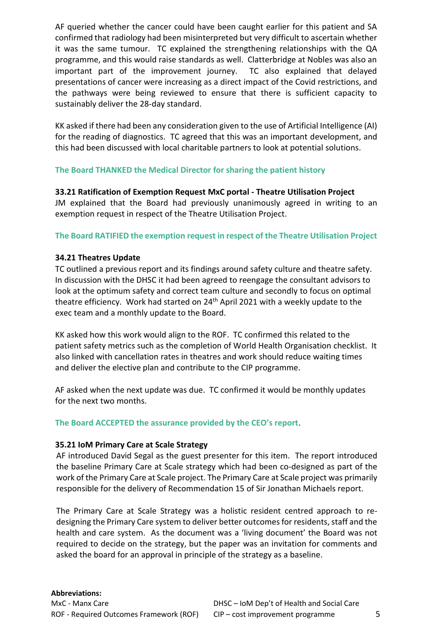AF queried whether the cancer could have been caught earlier for this patient and SA confirmed that radiology had been misinterpreted but very difficult to ascertain whether it was the same tumour. TC explained the strengthening relationships with the QA programme, and this would raise standards as well. Clatterbridge at Nobles was also an important part of the improvement journey. TC also explained that delayed presentations of cancer were increasing as a direct impact of the Covid restrictions, and the pathways were being reviewed to ensure that there is sufficient capacity to sustainably deliver the 28-day standard.

KK asked if there had been any consideration given to the use of Artificial Intelligence (AI) for the reading of diagnostics. TC agreed that this was an important development, and this had been discussed with local charitable partners to look at potential solutions.

# **The Board THANKED the Medical Director for sharing the patient history**

**33.21 Ratification of Exemption Request MxC portal - Theatre Utilisation Project** JM explained that the Board had previously unanimously agreed in writing to an exemption request in respect of the Theatre Utilisation Project.

# **The Board RATIFIED the exemption request in respect of the Theatre Utilisation Project**

# **34.21 Theatres Update**

TC outlined a previous report and its findings around safety culture and theatre safety. In discussion with the DHSC it had been agreed to reengage the consultant advisors to look at the optimum safety and correct team culture and secondly to focus on optimal theatre efficiency. Work had started on 24<sup>th</sup> April 2021 with a weekly update to the exec team and a monthly update to the Board.

KK asked how this work would align to the ROF. TC confirmed this related to the patient safety metrics such as the completion of World Health Organisation checklist. It also linked with cancellation rates in theatres and work should reduce waiting times and deliver the elective plan and contribute to the CIP programme.

AF asked when the next update was due. TC confirmed it would be monthly updates for the next two months.

# **The Board ACCEPTED the assurance provided by the CEO's report**.

# **35.21 IoM Primary Care at Scale Strategy**

AF introduced David Segal as the guest presenter for this item. The report introduced the baseline Primary Care at Scale strategy which had been co-designed as part of the work of the Primary Care at Scale project. The Primary Care at Scale project was primarily responsible for the delivery of Recommendation 15 of Sir Jonathan Michaels report.

The Primary Care at Scale Strategy was a holistic resident centred approach to redesigning the Primary Care system to deliver better outcomes for residents, staff and the health and care system. As the document was a 'living document' the Board was not required to decide on the strategy, but the paper was an invitation for comments and asked the board for an approval in principle of the strategy as a baseline.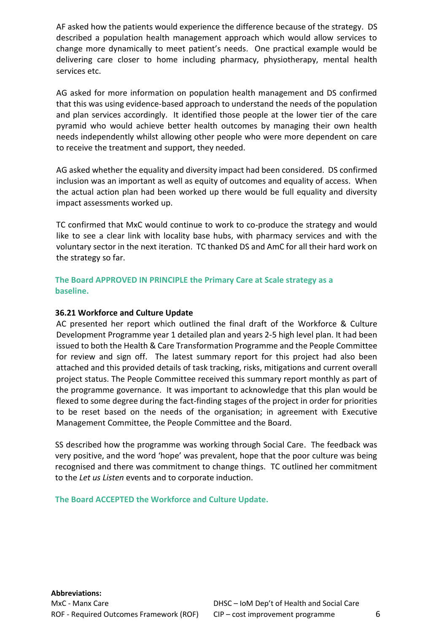AF asked how the patients would experience the difference because of the strategy. DS described a population health management approach which would allow services to change more dynamically to meet patient's needs. One practical example would be delivering care closer to home including pharmacy, physiotherapy, mental health services etc.

AG asked for more information on population health management and DS confirmed that this was using evidence-based approach to understand the needs of the population and plan services accordingly. It identified those people at the lower tier of the care pyramid who would achieve better health outcomes by managing their own health needs independently whilst allowing other people who were more dependent on care to receive the treatment and support, they needed.

AG asked whether the equality and diversity impact had been considered. DS confirmed inclusion was an important as well as equity of outcomes and equality of access. When the actual action plan had been worked up there would be full equality and diversity impact assessments worked up.

TC confirmed that MxC would continue to work to co-produce the strategy and would like to see a clear link with locality base hubs, with pharmacy services and with the voluntary sector in the next iteration. TC thanked DS and AmC for all their hard work on the strategy so far.

**The Board APPROVED IN PRINCIPLE the Primary Care at Scale strategy as a baseline.**

## **36.21 Workforce and Culture Update**

AC presented her report which outlined the final draft of the Workforce & Culture Development Programme year 1 detailed plan and years 2-5 high level plan. It had been issued to both the Health & Care Transformation Programme and the People Committee for review and sign off. The latest summary report for this project had also been attached and this provided details of task tracking, risks, mitigations and current overall project status. The People Committee received this summary report monthly as part of the programme governance. It was important to acknowledge that this plan would be flexed to some degree during the fact-finding stages of the project in order for priorities to be reset based on the needs of the organisation; in agreement with Executive Management Committee, the People Committee and the Board.

SS described how the programme was working through Social Care. The feedback was very positive, and the word 'hope' was prevalent, hope that the poor culture was being recognised and there was commitment to change things. TC outlined her commitment to the *Let us Listen* events and to corporate induction.

**The Board ACCEPTED the Workforce and Culture Update.**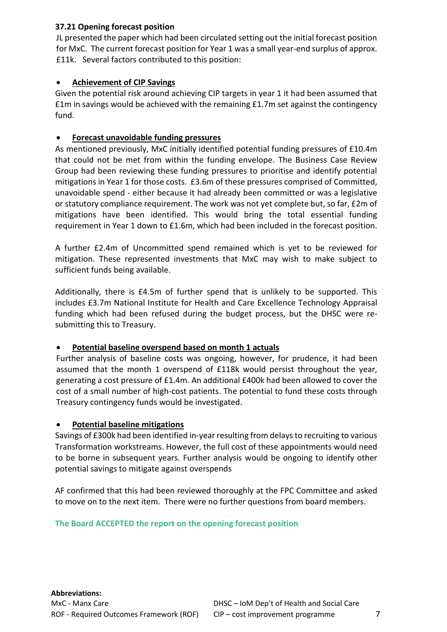# **37.21 Opening forecast position**

JL presented the paper which had been circulated setting out the initial forecast position for MxC. The current forecast position for Year 1 was a small year-end surplus of approx. £11k. Several factors contributed to this position:

# **Achievement of CIP Savings**

Given the potential risk around achieving CIP targets in year 1 it had been assumed that £1m in savings would be achieved with the remaining £1.7m set against the contingency fund.

# **Forecast unavoidable funding pressures**

As mentioned previously, MxC initially identified potential funding pressures of £10.4m that could not be met from within the funding envelope. The Business Case Review Group had been reviewing these funding pressures to prioritise and identify potential mitigations in Year 1 for those costs. £3.6m of these pressures comprised of Committed, unavoidable spend - either because it had already been committed or was a legislative or statutory compliance requirement. The work was not yet complete but, so far, £2m of mitigations have been identified. This would bring the total essential funding requirement in Year 1 down to £1.6m, which had been included in the forecast position.

A further £2.4m of Uncommitted spend remained which is yet to be reviewed for mitigation. These represented investments that MxC may wish to make subject to sufficient funds being available.

Additionally, there is £4.5m of further spend that is unlikely to be supported. This includes £3.7m National Institute for Health and Care Excellence Technology Appraisal funding which had been refused during the budget process, but the DHSC were resubmitting this to Treasury.

# **Potential baseline overspend based on month 1 actuals**

Further analysis of baseline costs was ongoing, however, for prudence, it had been assumed that the month 1 overspend of £118k would persist throughout the year, generating a cost pressure of £1.4m. An additional £400k had been allowed to cover the cost of a small number of high-cost patients. The potential to fund these costs through Treasury contingency funds would be investigated.

# **Potential baseline mitigations**

Savings of £300k had been identified in-year resulting from delays to recruiting to various Transformation workstreams. However, the full cost of these appointments would need to be borne in subsequent years. Further analysis would be ongoing to identify other potential savings to mitigate against overspends

AF confirmed that this had been reviewed thoroughly at the FPC Committee and asked to move on to the next item. There were no further questions from board members.

# **The Board ACCEPTED the report on the opening forecast position**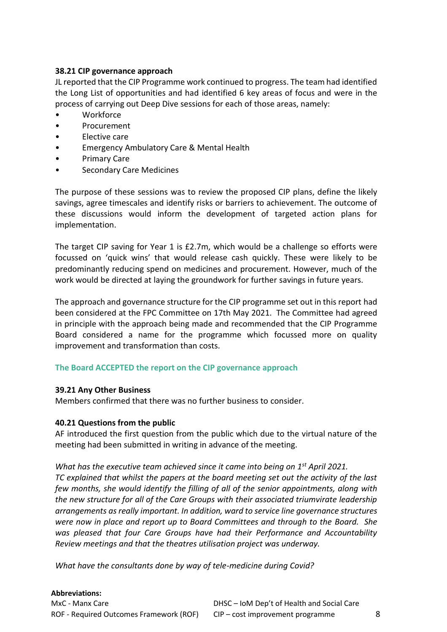# **38.21 CIP governance approach**

JL reported that the CIP Programme work continued to progress. The team had identified the Long List of opportunities and had identified 6 key areas of focus and were in the process of carrying out Deep Dive sessions for each of those areas, namely:

- **Workforce**
- Procurement
- Elective care
- Emergency Ambulatory Care & Mental Health
- Primary Care
- Secondary Care Medicines

The purpose of these sessions was to review the proposed CIP plans, define the likely savings, agree timescales and identify risks or barriers to achievement. The outcome of these discussions would inform the development of targeted action plans for implementation.

The target CIP saving for Year 1 is £2.7m, which would be a challenge so efforts were focussed on 'quick wins' that would release cash quickly. These were likely to be predominantly reducing spend on medicines and procurement. However, much of the work would be directed at laying the groundwork for further savings in future years.

The approach and governance structure for the CIP programme set out in this report had been considered at the FPC Committee on 17th May 2021. The Committee had agreed in principle with the approach being made and recommended that the CIP Programme Board considered a name for the programme which focussed more on quality improvement and transformation than costs.

# **The Board ACCEPTED the report on the CIP governance approach**

# **39.21 Any Other Business**

Members confirmed that there was no further business to consider.

# **40.21 Questions from the public**

AF introduced the first question from the public which due to the virtual nature of the meeting had been submitted in writing in advance of the meeting.

# *What has the executive team achieved since it came into being on 1st April 2021.*

*TC explained that whilst the papers at the board meeting set out the activity of the last few months, she would identify the filling of all of the senior appointments, along with the new structure for all of the Care Groups with their associated triumvirate leadership arrangements as really important. In addition, ward to service line governance structures were now in place and report up to Board Committees and through to the Board. She was pleased that four Care Groups have had their Performance and Accountability Review meetings and that the theatres utilisation project was underway.*

*What have the consultants done by way of tele-medicine during Covid?*